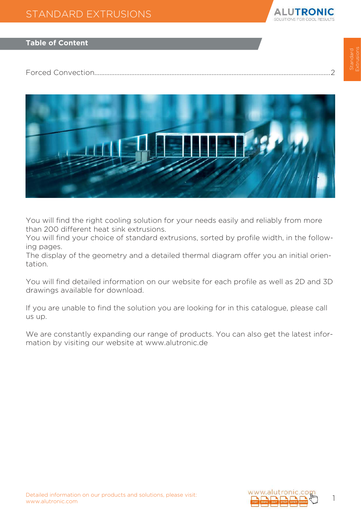

#### **Table of Content**

[Forced Convection.............................................................................................................................................2](#page-1-0)



You will find the right cooling solution for your needs easily and reliably from more than 200 different heat sink extrusions.

You will find your choice of standard extrusions, sorted by profile width, in the following pages.

The display of the geometry and a detailed thermal diagram offer you an initial orientation.

You will find detailed information on our website for each profile as well as 2D and 3D drawings available for download.

If you are unable to find the solution you are looking for in this catalogue, please call us up.

We are constantly expanding our range of products. You can also get the latest information by visiting our website at www.alutronic.de

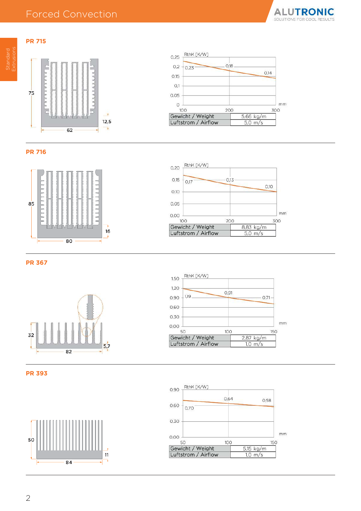### <span id="page-1-0"></span>Forced Convection



## $75$  $\mathcal{I}$  $12,5$  $\frac{1}{2}$  $62$



**ALUTRONIC** SOLUTIONS FOR COOL RESULTS







**PR 367**







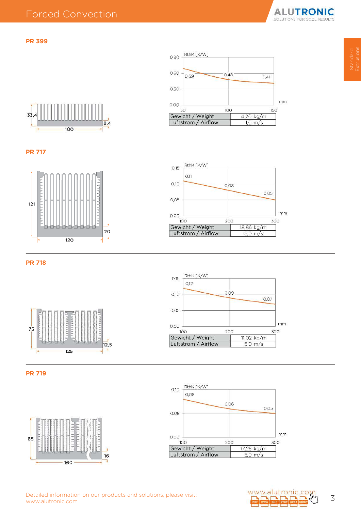#### **PR 399**











**PR 718**









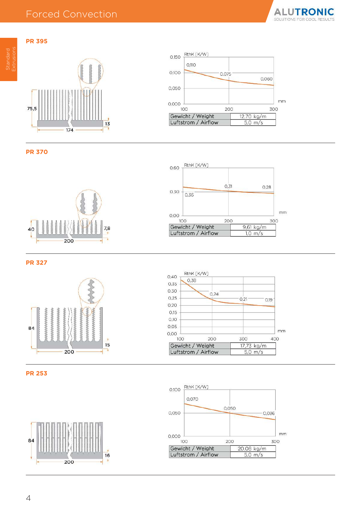

#### **PR 395**





**PR 370**





**PR 327**







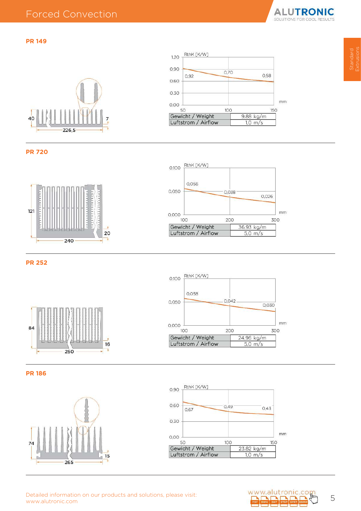Extrusions

#### **PR 149**





**PR 720**





**PR 252**





**PR 186**





Detailed information on our products and solutions, please visit:<br>www.alutronic.com **5 (1)** 5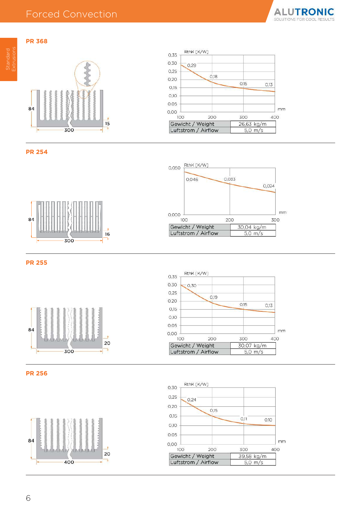# **PR 368** Extrusions





**ALUTRONIC** 

SOLUTIONS F



**PR 254**







84

**PR 255**